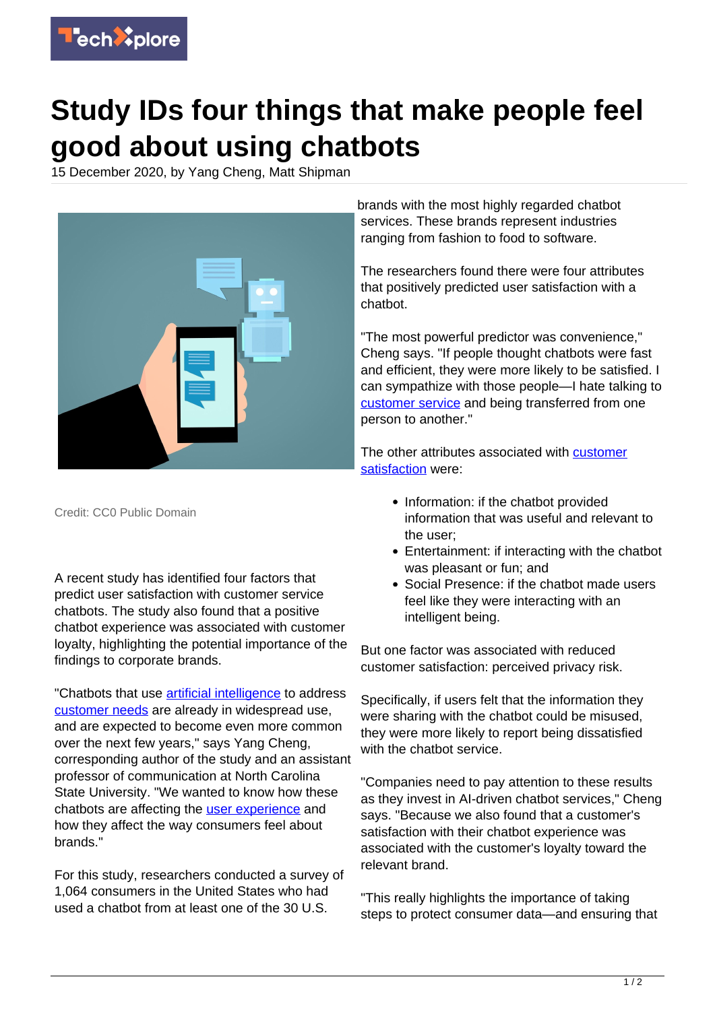

## **Study IDs four things that make people feel good about using chatbots**

15 December 2020, by Yang Cheng, Matt Shipman



Credit: CC0 Public Domain

A recent study has identified four factors that predict user satisfaction with customer service chatbots. The study also found that a positive chatbot experience was associated with customer loyalty, highlighting the potential importance of the findings to corporate brands.

"Chatbots that use [artificial intelligence](https://techxplore.com/tags/artificial+intelligence/) to address [customer needs](https://techxplore.com/tags/customer+needs/) are already in widespread use, and are expected to become even more common over the next few years," says Yang Cheng, corresponding author of the study and an assistant professor of communication at North Carolina State University. "We wanted to know how these chatbots are affecting the **[user experience](https://techxplore.com/tags/user+experience/)** and how they affect the way consumers feel about brands."

For this study, researchers conducted a survey of 1,064 consumers in the United States who had used a chatbot from at least one of the 30 U.S.

brands with the most highly regarded chatbot services. These brands represent industries ranging from fashion to food to software.

The researchers found there were four attributes that positively predicted user satisfaction with a chatbot.

"The most powerful predictor was convenience," Cheng says. "If people thought chatbots were fast and efficient, they were more likely to be satisfied. I can sympathize with those people—I hate talking to [customer service](https://techxplore.com/tags/customer+service/) and being transferred from one person to another."

The other attributes associated with [customer](https://techxplore.com/tags/customer+satisfaction/) [satisfaction](https://techxplore.com/tags/customer+satisfaction/) were:

- Information: if the chatbot provided information that was useful and relevant to the user;
- Entertainment: if interacting with the chatbot was pleasant or fun; and
- Social Presence: if the chatbot made users feel like they were interacting with an intelligent being.

But one factor was associated with reduced customer satisfaction: perceived privacy risk.

Specifically, if users felt that the information they were sharing with the chatbot could be misused, they were more likely to report being dissatisfied with the chathot service.

"Companies need to pay attention to these results as they invest in AI-driven chatbot services," Cheng says. "Because we also found that a customer's satisfaction with their chatbot experience was associated with the customer's loyalty toward the relevant brand.

"This really highlights the importance of taking steps to protect consumer data—and ensuring that